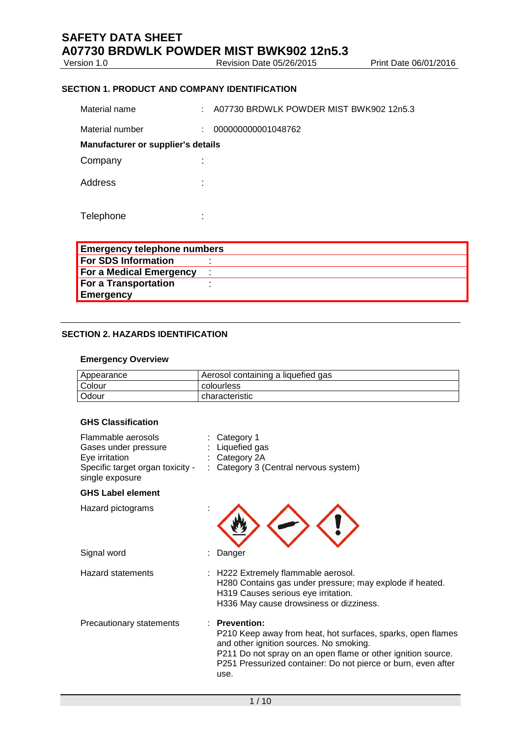Version 1.0 Revision Date 05/26/2015 Print Date 06/01/2016

### **SECTION 1. PRODUCT AND COMPANY IDENTIFICATION**

| Material name                      | ÷                   | A07730 BRDWLK POWDER MIST BWK902 12n5.3 |
|------------------------------------|---------------------|-----------------------------------------|
| Material number                    | ÷                   | 000000000001048762                      |
| Manufacturer or supplier's details |                     |                                         |
| Company                            | ÷                   |                                         |
| Address                            | ÷                   |                                         |
| Telephone                          | ٠<br>$\blacksquare$ |                                         |

| <b>Emergency telephone numbers</b> |  |
|------------------------------------|--|
| <b>For SDS Information</b>         |  |
| <b>For a Medical Emergency</b>     |  |
| For a Transportation               |  |
| <b>Emergency</b>                   |  |

#### **SECTION 2. HAZARDS IDENTIFICATION**

#### **Emergency Overview**

| Appearance    | Aerosol containing a liquefied gas |
|---------------|------------------------------------|
| <b>Colour</b> | colourless                         |
| l Odour       | characteristic                     |

#### **GHS Classification**

| Flammable aerosols<br>Gases under pressure<br>Eye irritation<br>Specific target organ toxicity -<br>single exposure | Category 1<br>Liquefied gas<br>Category 2A<br>: Category 3 (Central nervous system)                                                                                                                                                                              |
|---------------------------------------------------------------------------------------------------------------------|------------------------------------------------------------------------------------------------------------------------------------------------------------------------------------------------------------------------------------------------------------------|
| <b>GHS Label element</b>                                                                                            |                                                                                                                                                                                                                                                                  |
| Hazard pictograms                                                                                                   |                                                                                                                                                                                                                                                                  |
| Signal word                                                                                                         | Danger                                                                                                                                                                                                                                                           |
| <b>Hazard statements</b>                                                                                            | H222 Extremely flammable aerosol.<br>H280 Contains gas under pressure; may explode if heated.<br>H319 Causes serious eye irritation.<br>H336 May cause drowsiness or dizziness.                                                                                  |
| Precautionary statements                                                                                            | : Prevention:<br>P210 Keep away from heat, hot surfaces, sparks, open flames<br>and other ignition sources. No smoking.<br>P211 Do not spray on an open flame or other ignition source.<br>P251 Pressurized container: Do not pierce or burn, even after<br>use. |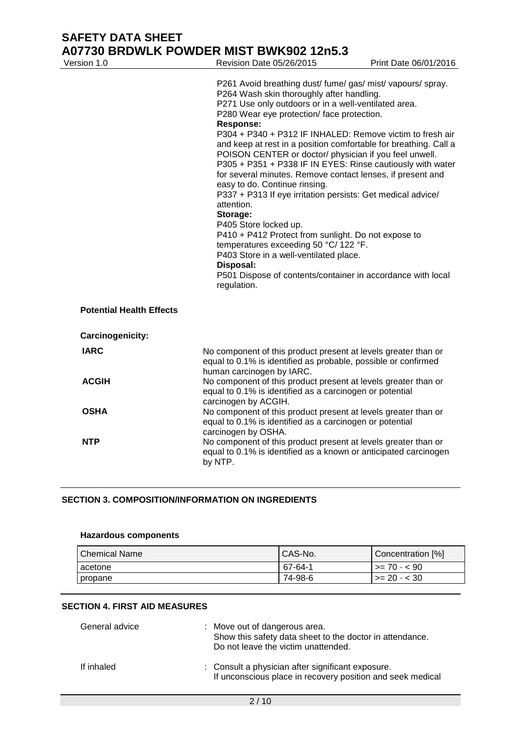| Version 1.0                     | Revision Date 05/26/2015                                                                                                                                                                                                                                                                                                                                                                                                                                                                                                                                                                                                                                                                                                                                                                                                                                                                                                                          | Print Date 06/01/2016 |
|---------------------------------|---------------------------------------------------------------------------------------------------------------------------------------------------------------------------------------------------------------------------------------------------------------------------------------------------------------------------------------------------------------------------------------------------------------------------------------------------------------------------------------------------------------------------------------------------------------------------------------------------------------------------------------------------------------------------------------------------------------------------------------------------------------------------------------------------------------------------------------------------------------------------------------------------------------------------------------------------|-----------------------|
|                                 | P261 Avoid breathing dust/ fume/ gas/ mist/ vapours/ spray.<br>P264 Wash skin thoroughly after handling.<br>P271 Use only outdoors or in a well-ventilated area.<br>P280 Wear eye protection/ face protection.<br><b>Response:</b><br>P304 + P340 + P312 IF INHALED: Remove victim to fresh air<br>and keep at rest in a position comfortable for breathing. Call a<br>POISON CENTER or doctor/ physician if you feel unwell.<br>P305 + P351 + P338 IF IN EYES: Rinse cautiously with water<br>for several minutes. Remove contact lenses, if present and<br>easy to do. Continue rinsing.<br>P337 + P313 If eye irritation persists: Get medical advice/<br>attention.<br>Storage:<br>P405 Store locked up.<br>P410 + P412 Protect from sunlight. Do not expose to<br>temperatures exceeding 50 °C/ 122 °F.<br>P403 Store in a well-ventilated place.<br>Disposal:<br>P501 Dispose of contents/container in accordance with local<br>regulation. |                       |
| <b>Potential Health Effects</b> |                                                                                                                                                                                                                                                                                                                                                                                                                                                                                                                                                                                                                                                                                                                                                                                                                                                                                                                                                   |                       |
| Carcinogenicity:                |                                                                                                                                                                                                                                                                                                                                                                                                                                                                                                                                                                                                                                                                                                                                                                                                                                                                                                                                                   |                       |
| <b>IARC</b>                     | No component of this product present at levels greater than or<br>equal to 0.1% is identified as probable, possible or confirmed<br>human carcinogen by IARC.                                                                                                                                                                                                                                                                                                                                                                                                                                                                                                                                                                                                                                                                                                                                                                                     |                       |
| <b>ACGIH</b>                    | No component of this product present at levels greater than or<br>equal to 0.1% is identified as a carcinogen or potential<br>carcinogen by ACGIH.                                                                                                                                                                                                                                                                                                                                                                                                                                                                                                                                                                                                                                                                                                                                                                                                |                       |
| <b>OSHA</b>                     | No component of this product present at levels greater than or<br>equal to 0.1% is identified as a carcinogen or potential<br>carcinogen by OSHA.                                                                                                                                                                                                                                                                                                                                                                                                                                                                                                                                                                                                                                                                                                                                                                                                 |                       |
| <b>NTP</b>                      | No component of this product present at levels greater than or<br>equal to 0.1% is identified as a known or anticipated carcinogen<br>by NTP.                                                                                                                                                                                                                                                                                                                                                                                                                                                                                                                                                                                                                                                                                                                                                                                                     |                       |

# **SECTION 3. COMPOSITION/INFORMATION ON INGREDIENTS**

#### **Hazardous components**

| <b>Chemical Name</b> | CAS-No. | Concentration [%]    |
|----------------------|---------|----------------------|
| acetone              | 67-64-1 | $\vert$ >= 70 - < 90 |
| propane              | 74-98-6 | $>= 20 - < 30$       |

### **SECTION 4. FIRST AID MEASURES**

| General advice | : Move out of dangerous area.<br>Show this safety data sheet to the doctor in attendance.<br>Do not leave the victim unattended. |
|----------------|----------------------------------------------------------------------------------------------------------------------------------|
| If inhaled     | : Consult a physician after significant exposure.<br>If unconscious place in recovery position and seek medical                  |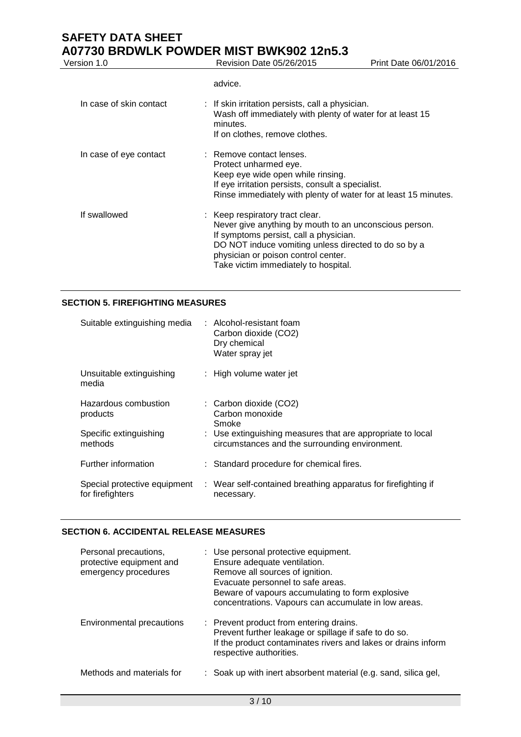Revision Date 05/26/2015 Print Date 06/01/2016

advice.

| In case of skin contact | $\therefore$ If skin irritation persists, call a physician.<br>Wash off immediately with plenty of water for at least 15<br>minutes.<br>If on clothes, remove clothes.                                                                                                     |
|-------------------------|----------------------------------------------------------------------------------------------------------------------------------------------------------------------------------------------------------------------------------------------------------------------------|
| In case of eye contact  | : Remove contact lenses.<br>Protect unharmed eye.<br>Keep eye wide open while rinsing.<br>If eye irritation persists, consult a specialist.<br>Rinse immediately with plenty of water for at least 15 minutes.                                                             |
| If swallowed            | : Keep respiratory tract clear.<br>Never give anything by mouth to an unconscious person.<br>If symptoms persist, call a physician.<br>DO NOT induce vomiting unless directed to do so by a<br>physician or poison control center.<br>Take victim immediately to hospital. |

### **SECTION 5. FIREFIGHTING MEASURES**

| Suitable extinguishing media                     | : Alcohol-resistant foam<br>Carbon dioxide (CO2)<br>Dry chemical<br>Water spray jet                          |
|--------------------------------------------------|--------------------------------------------------------------------------------------------------------------|
| Unsuitable extinguishing<br>media                | : High volume water jet                                                                                      |
| Hazardous combustion<br>products                 | : Carbon dioxide (CO2)<br>Carbon monoxide<br>Smoke                                                           |
| Specific extinguishing<br>methods                | : Use extinguishing measures that are appropriate to local<br>circumstances and the surrounding environment. |
| Further information                              | : Standard procedure for chemical fires.                                                                     |
| Special protective equipment<br>for firefighters | : Wear self-contained breathing apparatus for firefighting if<br>necessary.                                  |

## **SECTION 6. ACCIDENTAL RELEASE MEASURES**

| Personal precautions,<br>protective equipment and<br>emergency procedures | : Use personal protective equipment.<br>Ensure adequate ventilation.<br>Remove all sources of ignition.<br>Evacuate personnel to safe areas.<br>Beware of vapours accumulating to form explosive<br>concentrations. Vapours can accumulate in low areas. |
|---------------------------------------------------------------------------|----------------------------------------------------------------------------------------------------------------------------------------------------------------------------------------------------------------------------------------------------------|
| Environmental precautions                                                 | : Prevent product from entering drains.<br>Prevent further leakage or spillage if safe to do so.<br>If the product contaminates rivers and lakes or drains inform<br>respective authorities.                                                             |
| Methods and materials for                                                 | : Soak up with inert absorbent material (e.g. sand, silica gel,                                                                                                                                                                                          |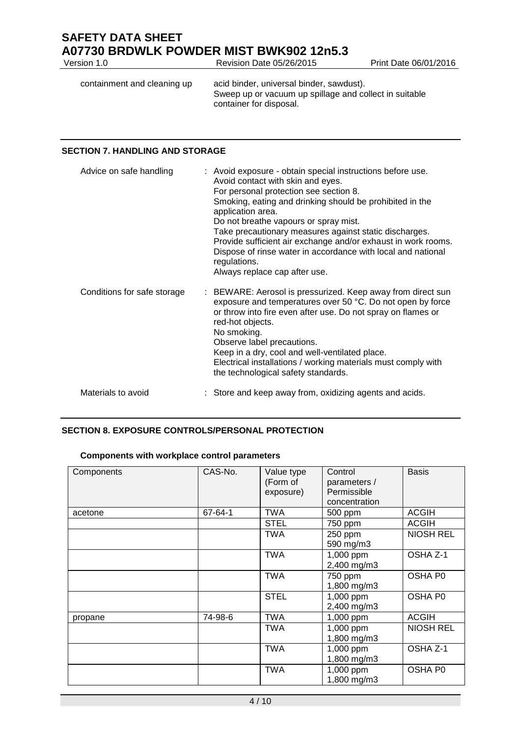| acid binder, universal binder, sawdust).<br>containment and cleaning up<br>Sweep up or vacuum up spillage and collect in suitable | Version 1.0 | Revision Date 05/26/2015 | Print Date 06/01/2016 |
|-----------------------------------------------------------------------------------------------------------------------------------|-------------|--------------------------|-----------------------|
|                                                                                                                                   |             | container for disposal.  |                       |

### **SECTION 7. HANDLING AND STORAGE**

| Advice on safe handling     | : Avoid exposure - obtain special instructions before use.<br>Avoid contact with skin and eyes.<br>For personal protection see section 8.<br>Smoking, eating and drinking should be prohibited in the<br>application area.<br>Do not breathe vapours or spray mist.<br>Take precautionary measures against static discharges.<br>Provide sufficient air exchange and/or exhaust in work rooms.<br>Dispose of rinse water in accordance with local and national<br>regulations.<br>Always replace cap after use. |
|-----------------------------|-----------------------------------------------------------------------------------------------------------------------------------------------------------------------------------------------------------------------------------------------------------------------------------------------------------------------------------------------------------------------------------------------------------------------------------------------------------------------------------------------------------------|
| Conditions for safe storage | : BEWARE: Aerosol is pressurized. Keep away from direct sun<br>exposure and temperatures over 50 °C. Do not open by force<br>or throw into fire even after use. Do not spray on flames or<br>red-hot objects.<br>No smoking.<br>Observe label precautions.<br>Keep in a dry, cool and well-ventilated place.<br>Electrical installations / working materials must comply with<br>the technological safety standards.                                                                                            |
| Materials to avoid          | : Store and keep away from, oxidizing agents and acids.                                                                                                                                                                                                                                                                                                                                                                                                                                                         |

# **SECTION 8. EXPOSURE CONTROLS/PERSONAL PROTECTION**

| Components | CAS-No. | Value type<br>(Form of<br>exposure) | Control<br>parameters /<br>Permissible<br>concentration | <b>Basis</b>     |
|------------|---------|-------------------------------------|---------------------------------------------------------|------------------|
| acetone    | 67-64-1 | TWA                                 | 500 ppm                                                 | <b>ACGIH</b>     |
|            |         | <b>STEL</b>                         | 750 ppm                                                 | <b>ACGIH</b>     |
|            |         | <b>TWA</b>                          | 250 ppm<br>590 mg/m3                                    | <b>NIOSH REL</b> |
|            |         | <b>TWA</b>                          | 1,000 ppm<br>2,400 mg/m3                                | OSHA Z-1         |
|            |         | <b>TWA</b>                          | 750 ppm<br>1,800 mg/m3                                  | OSHA P0          |
|            |         | <b>STEL</b>                         | 1,000 ppm<br>2,400 mg/m3                                | OSHA P0          |
| propane    | 74-98-6 | <b>TWA</b>                          | 1,000 ppm                                               | <b>ACGIH</b>     |
|            |         | <b>TWA</b>                          | 1,000 ppm<br>1,800 mg/m3                                | <b>NIOSH REL</b> |
|            |         | <b>TWA</b>                          | 1,000 ppm<br>1,800 mg/m3                                | OSHA Z-1         |
|            |         | <b>TWA</b>                          | 1,000 ppm<br>1,800 mg/m3                                | OSHA P0          |

# **Components with workplace control parameters**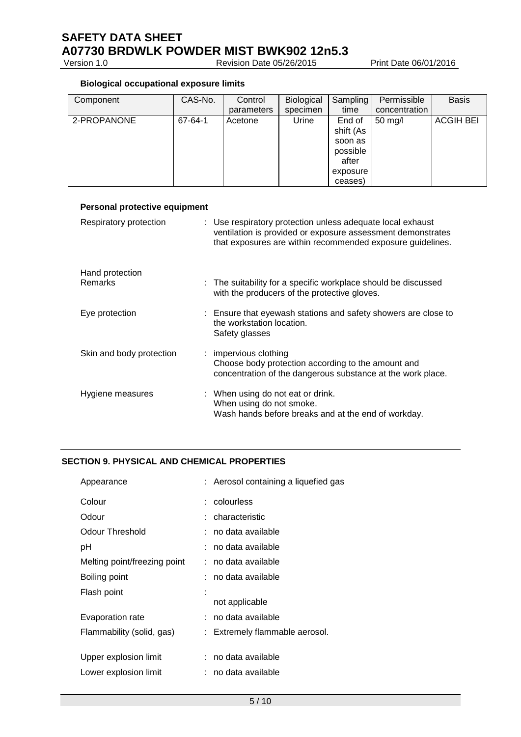Version 1.0 Revision Date 05/26/2015 Print Date 06/01/2016

# **Biological occupational exposure limits**

| Component   | CAS-No. | Control    | Biological | Sampling  | Permissible       | <b>Basis</b>     |
|-------------|---------|------------|------------|-----------|-------------------|------------------|
|             |         | parameters | specimen   | time      | concentration     |                  |
| 2-PROPANONE | 67-64-1 | Acetone    | Urine      | End of    | $50 \text{ mg/l}$ | <b>ACGIH BEI</b> |
|             |         |            |            | shift (As |                   |                  |
|             |         |            |            | soon as   |                   |                  |
|             |         |            |            | possible  |                   |                  |
|             |         |            |            | after     |                   |                  |
|             |         |            |            | exposure  |                   |                  |
|             |         |            |            | ceases)   |                   |                  |

| <b>Personal protective equipment</b> |                                                                                                                                                                                         |
|--------------------------------------|-----------------------------------------------------------------------------------------------------------------------------------------------------------------------------------------|
| Respiratory protection               | : Use respiratory protection unless adequate local exhaust<br>ventilation is provided or exposure assessment demonstrates<br>that exposures are within recommended exposure guidelines. |
| Hand protection                      |                                                                                                                                                                                         |
| <b>Remarks</b>                       | : The suitability for a specific workplace should be discussed<br>with the producers of the protective gloves.                                                                          |
| Eye protection                       | : Ensure that eyewash stations and safety showers are close to<br>the workstation location.<br>Safety glasses                                                                           |
| Skin and body protection             | : impervious clothing<br>Choose body protection according to the amount and<br>concentration of the dangerous substance at the work place.                                              |
| Hygiene measures                     | : When using do not eat or drink.<br>When using do not smoke.<br>Wash hands before breaks and at the end of workday.                                                                    |

## **SECTION 9. PHYSICAL AND CHEMICAL PROPERTIES**

| Appearance                   | : Aerosol containing a liquefied gas |
|------------------------------|--------------------------------------|
| Colour                       | : colourless                         |
| Odour                        | : characteristic                     |
| Odour Threshold              | : no data available                  |
| рH                           | ∶no data available                   |
| Melting point/freezing point | : no data available                  |
| Boiling point                | : no data available                  |
| Flash point                  | not applicable                       |
| Evaporation rate             | no data available                    |
| Flammability (solid, gas)    | Extremely flammable aerosol.         |
| Upper explosion limit        | : no data available                  |
|                              |                                      |
| Lower explosion limit        | no data available                    |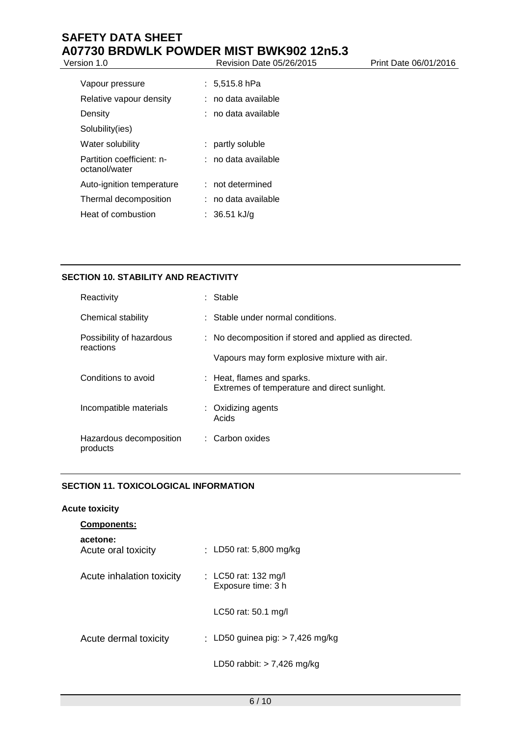# **SAFETY DATA SHEET A07730 BRDWLK POWDER MIST BWK902 12n5.3**<br> **Perision Date 05/26/2015**<br>
Revision Date 05/26/2015

# Version 1.0 **Revision Date 05/26/2015** Print Date 06/01/2016

| Vapour pressure                            |    | : 5,515.8 hPa       |
|--------------------------------------------|----|---------------------|
| Relative vapour density                    |    | : no data available |
| Density                                    |    | ∶no data available  |
| Solubility(ies)                            |    |                     |
| Water solubility                           | t. | partly soluble      |
| Partition coefficient: n-<br>octanol/water |    | : no data available |
| Auto-ignition temperature                  |    | $:$ not determined  |
| Thermal decomposition                      |    | : no data available |
| Heat of combustion                         |    | : 36.51 kJ/q        |
|                                            |    |                     |

# **SECTION 10. STABILITY AND REACTIVITY**

| Reactivity                            | : Stable                                                                   |
|---------------------------------------|----------------------------------------------------------------------------|
| Chemical stability                    | : Stable under normal conditions.                                          |
| Possibility of hazardous<br>reactions | : No decomposition if stored and applied as directed.                      |
|                                       | Vapours may form explosive mixture with air.                               |
| Conditions to avoid                   | : Heat, flames and sparks.<br>Extremes of temperature and direct sunlight. |
| Incompatible materials                | : Oxidizing agents<br>Acids                                                |
| Hazardous decomposition<br>products   | : Carbon oxides                                                            |
|                                       |                                                                            |

# **SECTION 11. TOXICOLOGICAL INFORMATION**

#### **Acute toxicity**

| <b>Components:</b>              |                                            |
|---------------------------------|--------------------------------------------|
| acetone:<br>Acute oral toxicity | : LD50 rat: 5,800 mg/kg                    |
| Acute inhalation toxicity       | : LC50 rat: 132 mg/l<br>Exposure time: 3 h |
|                                 | LC50 rat: 50.1 mg/l                        |
| Acute dermal toxicity           | : LD50 guinea pig: $> 7,426$ mg/kg         |
|                                 | LD50 rabbit: $> 7,426$ mg/kg               |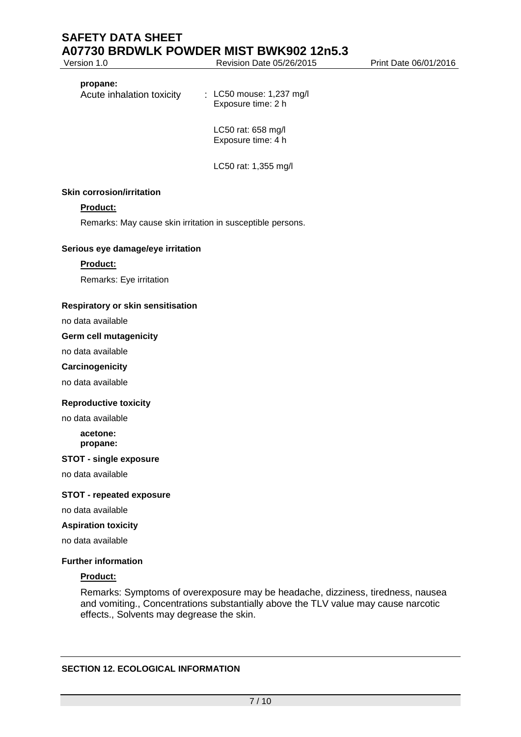Version 1.0 Revision Date 05/26/2015 Print Date 06/01/2016

#### **propane:**

Acute inhalation toxicity : LC50 mouse: 1,237 mg/l Exposure time: 2 h

> LC50 rat: 658 mg/l Exposure time: 4 h

LC50 rat: 1,355 mg/l

#### **Skin corrosion/irritation**

## **Product:**

Remarks: May cause skin irritation in susceptible persons.

#### **Serious eye damage/eye irritation**

#### **Product:**

Remarks: Eye irritation

#### **Respiratory or skin sensitisation**

no data available

#### **Germ cell mutagenicity**

no data available

#### **Carcinogenicity**

no data available

#### **Reproductive toxicity**

no data available

**acetone: propane:**

#### **STOT - single exposure**

no data available

#### **STOT - repeated exposure**

no data available

#### **Aspiration toxicity**

no data available

#### **Further information**

#### **Product:**

Remarks: Symptoms of overexposure may be headache, dizziness, tiredness, nausea and vomiting., Concentrations substantially above the TLV value may cause narcotic effects., Solvents may degrease the skin.

## **SECTION 12. ECOLOGICAL INFORMATION**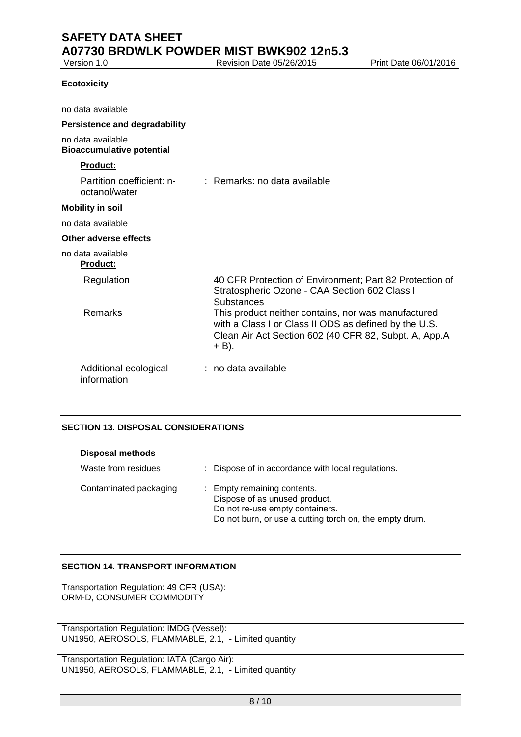Revision Date 05/26/2015 Print Date 06/01/2016

# **Ecotoxicity**

| no data available                                     |                                                                                                                                                                                                                                                                                                 |
|-------------------------------------------------------|-------------------------------------------------------------------------------------------------------------------------------------------------------------------------------------------------------------------------------------------------------------------------------------------------|
| <b>Persistence and degradability</b>                  |                                                                                                                                                                                                                                                                                                 |
| no data available<br><b>Bioaccumulative potential</b> |                                                                                                                                                                                                                                                                                                 |
| <b>Product:</b>                                       |                                                                                                                                                                                                                                                                                                 |
| Partition coefficient: n-<br>octanol/water            | : Remarks: no data available                                                                                                                                                                                                                                                                    |
| <b>Mobility in soil</b>                               |                                                                                                                                                                                                                                                                                                 |
| no data available                                     |                                                                                                                                                                                                                                                                                                 |
| Other adverse effects                                 |                                                                                                                                                                                                                                                                                                 |
| no data available<br><b>Product:</b>                  |                                                                                                                                                                                                                                                                                                 |
| Regulation<br>Remarks                                 | 40 CFR Protection of Environment; Part 82 Protection of<br>Stratospheric Ozone - CAA Section 602 Class I<br>Substances<br>This product neither contains, nor was manufactured<br>with a Class I or Class II ODS as defined by the U.S.<br>Clean Air Act Section 602 (40 CFR 82, Subpt. A, App.A |
| Additional ecological<br>information                  | + B).<br>$:$ no data available                                                                                                                                                                                                                                                                  |

### **SECTION 13. DISPOSAL CONSIDERATIONS**

| <b>Disposal methods</b> |                                                                                                                                                            |
|-------------------------|------------------------------------------------------------------------------------------------------------------------------------------------------------|
| Waste from residues     | : Dispose of in accordance with local regulations.                                                                                                         |
| Contaminated packaging  | : Empty remaining contents.<br>Dispose of as unused product.<br>Do not re-use empty containers.<br>Do not burn, or use a cutting torch on, the empty drum. |

#### **SECTION 14. TRANSPORT INFORMATION**

Transportation Regulation: 49 CFR (USA): ORM-D, CONSUMER COMMODITY

Transportation Regulation: IMDG (Vessel): UN1950, AEROSOLS, FLAMMABLE, 2.1, - Limited quantity

Transportation Regulation: IATA (Cargo Air): UN1950, AEROSOLS, FLAMMABLE, 2.1, - Limited quantity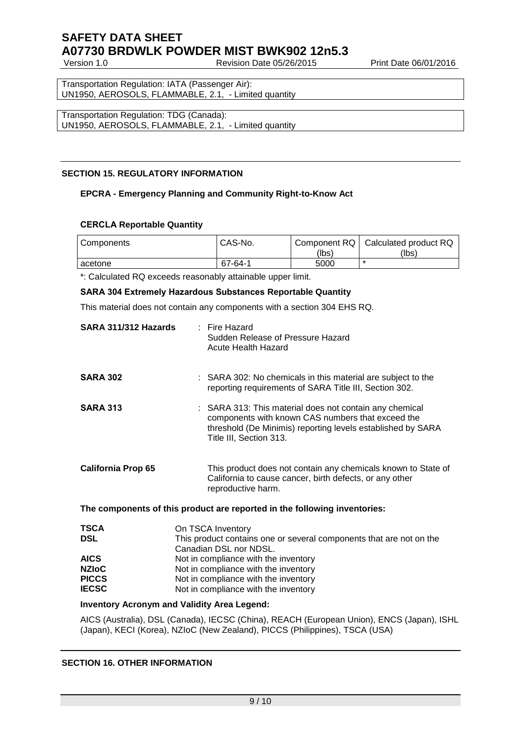Revision Date 05/26/2015 Print Date 06/01/2016

Transportation Regulation: IATA (Passenger Air): UN1950, AEROSOLS, FLAMMABLE, 2.1, - Limited quantity

Transportation Regulation: TDG (Canada): UN1950, AEROSOLS, FLAMMABLE, 2.1, - Limited quantity

# **SECTION 15. REGULATORY INFORMATION**

#### **EPCRA - Emergency Planning and Community Right-to-Know Act**

### **CERCLA Reportable Quantity**

| Components | CAS-No. | Component RQ<br>(lbs) | Calculated product RQ<br>(lbs) |
|------------|---------|-----------------------|--------------------------------|
| acetone    | 67-64-1 | 5000                  |                                |

\*: Calculated RQ exceeds reasonably attainable upper limit.

#### **SARA 304 Extremely Hazardous Substances Reportable Quantity**

This material does not contain any components with a section 304 EHS RQ.

| SARA 311/312 Hazards      | : Fire Hazard<br>Sudden Release of Pressure Hazard<br><b>Acute Health Hazard</b>                                                                                                                       |
|---------------------------|--------------------------------------------------------------------------------------------------------------------------------------------------------------------------------------------------------|
| <b>SARA 302</b>           | : SARA 302: No chemicals in this material are subject to the<br>reporting requirements of SARA Title III, Section 302.                                                                                 |
| <b>SARA 313</b>           | : SARA 313: This material does not contain any chemical<br>components with known CAS numbers that exceed the<br>threshold (De Minimis) reporting levels established by SARA<br>Title III, Section 313. |
| <b>California Prop 65</b> | This product does not contain any chemicals known to State of<br>California to cause cancer, birth defects, or any other<br>reproductive harm.                                                         |
|                           | The components of this product are reported in the following inventories:                                                                                                                              |
| <b>TSCA</b>               | On TSCA Inventory                                                                                                                                                                                      |
| <b>DSL</b>                | This product contains one or several components that are not on the                                                                                                                                    |
| <b>AICS</b>               | Canadian DSL nor NDSL.                                                                                                                                                                                 |
| <b>NZIOC</b>              | Not in compliance with the inventory<br>Not in compliance with the inventory                                                                                                                           |
| <b>PICCS</b>              | Not in compliance with the inventory                                                                                                                                                                   |
| <b>IECSC</b>              | Not in compliance with the inventory                                                                                                                                                                   |
|                           | <b>Inventory Acronym and Validity Area Legend:</b>                                                                                                                                                     |
|                           |                                                                                                                                                                                                        |

AICS (Australia), DSL (Canada), IECSC (China), REACH (European Union), ENCS (Japan), ISHL (Japan), KECI (Korea), NZIoC (New Zealand), PICCS (Philippines), TSCA (USA)

#### **SECTION 16. OTHER INFORMATION**